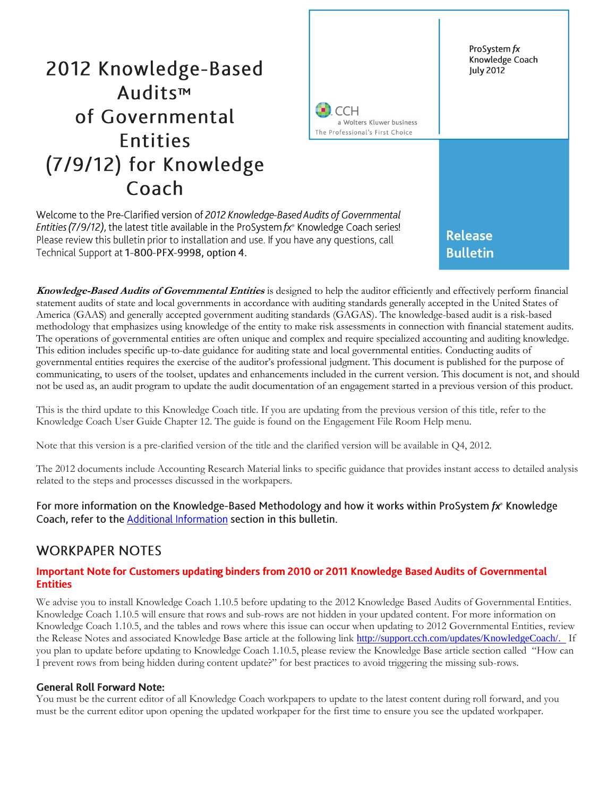# 2012 Knowledge-Based Audits™ of Governmental **Entities** (7/9/12) for Knowledge Coach

ProSystem fx Knowledge Coach **July 2012** 

:CH a Wolters Kluwer business The Professional's First Choice

Welcome to the Pre-Clarified version of 2012 Knowledge-Based Audits of Governmental Entities (7/9/12), the latest title available in the ProSystem fx<sup>®</sup> Knowledge Coach series! Please review this bulletin prior to installation and use. If you have any questions, call Technical Support at 1-800-PFX-9998, option 4.

**Knowledge-Based Audits of Governmental Entities** is designed to help the auditor efficiently and effectively perform financial statement audits of state and local governments in accordance with auditing standards generally accepted in the United States of America (GAAS) and generally accepted government auditing standards (GAGAS). The knowledge-based audit is a risk-based methodology that emphasizes using knowledge of the entity to make risk assessments in connection with financial statement audits. The operations of governmental entities are often unique and complex and require specialized accounting and auditing knowledge. This edition includes specific up-to-date guidance for auditing state and local governmental entities. Conducting audits of governmental entities requires the exercise of the auditor's professional judgment. This document is published for the purpose of communicating, to users of the toolset, updates and enhancements included in the current version. This document is not, and should not be used as, an audit program to update the audit documentation of an engagement started in a previous version of this product.

This is the third update to this Knowledge Coach title. If you are updating from the previous version of this title, refer to the Knowledge Coach User Guide Chapter 12. The guide is found on the Engagement File Room Help menu.

Note that this version is a pre-clarified version of the title and the clarified version will be available in Q4, 2012.

The 2012 documents include Accounting Research Material links to specific guidance that provides instant access to detailed analysis related to the steps and processes discussed in the workpapers.

For more information on the Knowledge-Based Methodology and how it works within ProSystem  $fx^*$  Knowledge Coach, refer to the Additional Information section in this bulletin.

# **WORKPAPER NOTES**

#### Important Note for Customers updating binders from 2010 or 2011 Knowledge Based Audits of Governmental **Entities**

We advise you to install Knowledge Coach 1.10.5 before updating to the 2012 Knowledge Based Audits of Governmental Entities. Knowledge Coach 1.10.5 will ensure that rows and sub-rows are not hidden in your updated content. For more information on Knowledge Coach 1.10.5, and the tables and rows where this issue can occur when updating to 2012 Governmental Entities, review the Release Notes and associated Knowledge Base article at the following link [http://support.cch.com/updates/KnowledgeCoach/.](http://support.cch.com/updates/KnowledgeCoach/) If you plan to update before updating to Knowledge Coach 1.10.5, please review the Knowledge Base article section called "How can I prevent rows from being hidden during content update?" for best practices to avoid triggering the missing sub-rows.

#### **General Roll Forward Note:**

You must be the current editor of all Knowledge Coach workpapers to update to the latest content during roll forward, and you must be the current editor upon opening the updated workpaper for the first time to ensure you see the updated workpaper.

**Release Bulletin**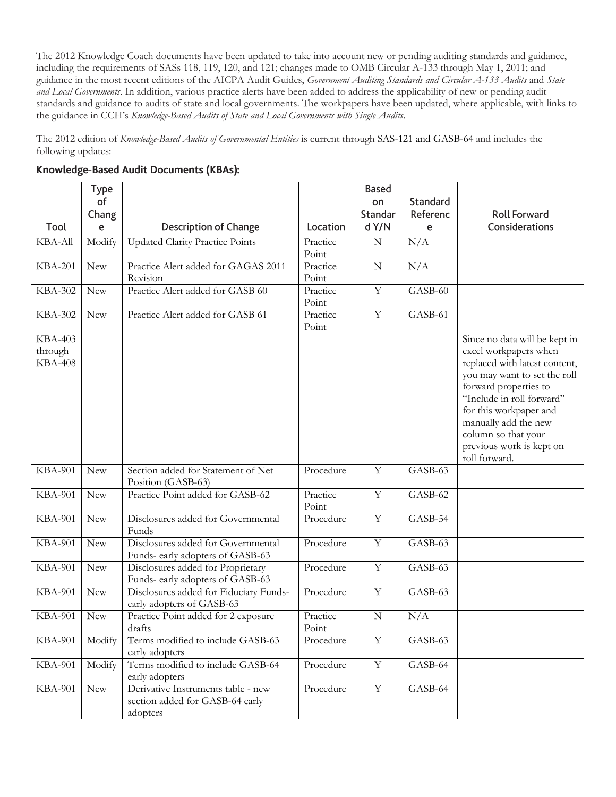The 2012 Knowledge Coach documents have been updated to take into account new or pending auditing standards and guidance, including the requirements of SASs 118, 119, 120, and 121; changes made to OMB Circular A-133 through May 1, 2011; and guidance in the most recent editions of the AICPA Audit Guides, *Government Auditing Standards and Circular A-133 Audits* and *State and Local Governments*. In addition, various practice alerts have been added to address the applicability of new or pending audit standards and guidance to audits of state and local governments. The workpapers have been updated, where applicable, with links to the guidance in CCH's *Knowledge-Based Audits of State and Local Governments with Single Audits*.

The 2012 edition of *Knowledge-Based Audits of Governmental Entities* is current through SAS-121 and GASB-64 and includes the following updates:

|                                             | <b>Type</b><br>of<br>Chang |                                                                                   |                   | <b>Based</b><br>on<br>Standar | Standard<br>Referenc | <b>Roll Forward</b>                                                                                                                                                                                                                                                                                 |
|---------------------------------------------|----------------------------|-----------------------------------------------------------------------------------|-------------------|-------------------------------|----------------------|-----------------------------------------------------------------------------------------------------------------------------------------------------------------------------------------------------------------------------------------------------------------------------------------------------|
| Tool                                        | e                          | <b>Description of Change</b>                                                      | Location          | d Y/N                         | e                    | Considerations                                                                                                                                                                                                                                                                                      |
| <b>KBA-All</b>                              | Modify                     | <b>Updated Clarity Practice Points</b>                                            | Practice<br>Point | $\mathbf N$                   | N/A                  |                                                                                                                                                                                                                                                                                                     |
| <b>KBA-201</b>                              | <b>New</b>                 | Practice Alert added for GAGAS 2011<br>Revision                                   | Practice<br>Point | $\mathbf N$                   | N/A                  |                                                                                                                                                                                                                                                                                                     |
| <b>KBA-302</b>                              | <b>New</b>                 | Practice Alert added for GASB 60                                                  | Practice<br>Point | $\mathbf Y$                   | GASB-60              |                                                                                                                                                                                                                                                                                                     |
| <b>KBA-302</b>                              | <b>New</b>                 | Practice Alert added for GASB 61                                                  | Practice<br>Point | $\mathbf Y$                   | GASB-61              |                                                                                                                                                                                                                                                                                                     |
| <b>KBA-403</b><br>through<br><b>KBA-408</b> |                            |                                                                                   |                   |                               |                      | Since no data will be kept in<br>excel workpapers when<br>replaced with latest content,<br>you may want to set the roll<br>forward properties to<br>"Include in roll forward"<br>for this workpaper and<br>manually add the new<br>column so that your<br>previous work is kept on<br>roll forward. |
| <b>KBA-901</b>                              | <b>New</b>                 | Section added for Statement of Net<br>Position (GASB-63)                          | Procedure         | $\overline{Y}$                | GASB-63              |                                                                                                                                                                                                                                                                                                     |
| <b>KBA-901</b>                              | New                        | Practice Point added for GASB-62                                                  | Practice<br>Point | $\overline{Y}$                | GASB-62              |                                                                                                                                                                                                                                                                                                     |
| <b>KBA-901</b>                              | <b>New</b>                 | Disclosures added for Governmental<br>Funds                                       | Procedure         | $\overline{Y}$                | GASB-54              |                                                                                                                                                                                                                                                                                                     |
| <b>KBA-901</b>                              | <b>New</b>                 | Disclosures added for Governmental<br>Funds- early adopters of GASB-63            | Procedure         | $\overline{Y}$                | GASB-63              |                                                                                                                                                                                                                                                                                                     |
| <b>KBA-901</b>                              | <b>New</b>                 | Disclosures added for Proprietary<br>Funds- early adopters of GASB-63             | Procedure         | $\mathbf Y$                   | GASB-63              |                                                                                                                                                                                                                                                                                                     |
| <b>KBA-901</b>                              | <b>New</b>                 | Disclosures added for Fiduciary Funds-<br>early adopters of GASB-63               | Procedure         | $\mathbf Y$                   | GASB-63              |                                                                                                                                                                                                                                                                                                     |
| <b>KBA-901</b>                              | <b>New</b>                 | Practice Point added for 2 exposure<br>drafts                                     | Practice<br>Point | $\mathbf N$                   | N/A                  |                                                                                                                                                                                                                                                                                                     |
| <b>KBA-901</b>                              | Modify                     | Terms modified to include GASB-63<br>early adopters                               | Procedure         | $\mathbf Y$                   | GASB-63              |                                                                                                                                                                                                                                                                                                     |
| <b>KBA-901</b>                              | Modify                     | Terms modified to include GASB-64<br>early adopters                               | Procedure         | $\overline{Y}$                | GASB-64              |                                                                                                                                                                                                                                                                                                     |
| <b>KBA-901</b>                              | <b>New</b>                 | Derivative Instruments table - new<br>section added for GASB-64 early<br>adopters | Procedure         | $\mathbf Y$                   | GASB-64              |                                                                                                                                                                                                                                                                                                     |

# Knowledge-Based Audit Documents (KBAs):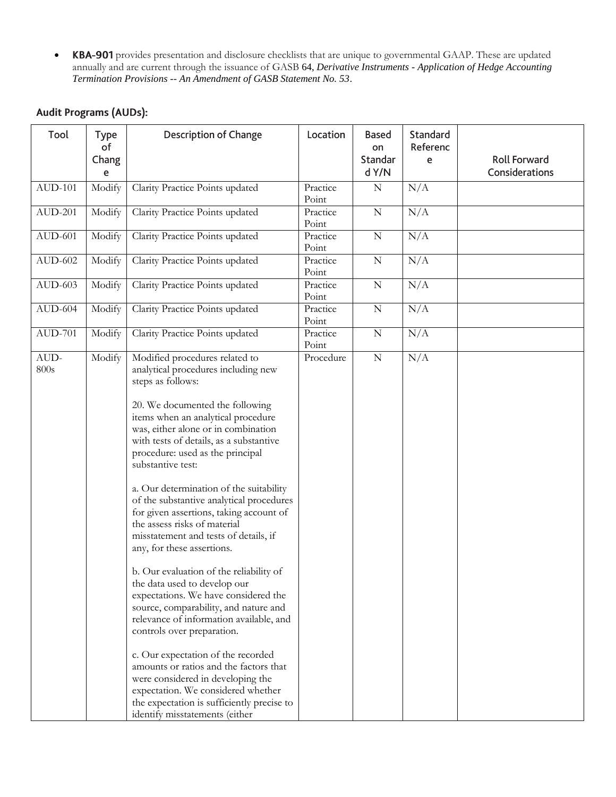**• KBA-901** provides presentation and disclosure checklists that are unique to governmental GAAP. These are updated annually and are current through the issuance of GASB 64, *Derivative Instruments - Application of Hedge Accounting Termination Provisions -- An Amendment of GASB Statement No. 53*.

# Audit Programs (AUDs):

| Tool           | <b>Type</b><br>of<br>Chang<br>e | <b>Description of Change</b>                                                                                                                                                                                                                                                                                                                                                                                                                                                                                                                                                                                                                                                                                                                                                                                                                                                                                                                                                                                                            | Location          | <b>Based</b><br>on<br>Standar<br>d Y/N | Standard<br>Referenc<br>e | <b>Roll Forward</b><br>Considerations |
|----------------|---------------------------------|-----------------------------------------------------------------------------------------------------------------------------------------------------------------------------------------------------------------------------------------------------------------------------------------------------------------------------------------------------------------------------------------------------------------------------------------------------------------------------------------------------------------------------------------------------------------------------------------------------------------------------------------------------------------------------------------------------------------------------------------------------------------------------------------------------------------------------------------------------------------------------------------------------------------------------------------------------------------------------------------------------------------------------------------|-------------------|----------------------------------------|---------------------------|---------------------------------------|
| <b>AUD-101</b> | Modify                          | Clarity Practice Points updated                                                                                                                                                                                                                                                                                                                                                                                                                                                                                                                                                                                                                                                                                                                                                                                                                                                                                                                                                                                                         | Practice<br>Point | ${\bf N}$                              | N/A                       |                                       |
| <b>AUD-201</b> | Modify                          | Clarity Practice Points updated                                                                                                                                                                                                                                                                                                                                                                                                                                                                                                                                                                                                                                                                                                                                                                                                                                                                                                                                                                                                         | Practice<br>Point | $\mathbf N$                            | N/A                       |                                       |
| $AUD-601$      | Modify                          | Clarity Practice Points updated                                                                                                                                                                                                                                                                                                                                                                                                                                                                                                                                                                                                                                                                                                                                                                                                                                                                                                                                                                                                         | Practice<br>Point | ${\bf N}$                              | N/A                       |                                       |
| $AUD-602$      | Modify                          | Clarity Practice Points updated                                                                                                                                                                                                                                                                                                                                                                                                                                                                                                                                                                                                                                                                                                                                                                                                                                                                                                                                                                                                         | Practice<br>Point | ${\bf N}$                              | N/A                       |                                       |
| $AUD-603$      | Modify                          | Clarity Practice Points updated                                                                                                                                                                                                                                                                                                                                                                                                                                                                                                                                                                                                                                                                                                                                                                                                                                                                                                                                                                                                         | Practice<br>Point | ${\bf N}$                              | N/A                       |                                       |
| $AUD-604$      | Modify                          | Clarity Practice Points updated                                                                                                                                                                                                                                                                                                                                                                                                                                                                                                                                                                                                                                                                                                                                                                                                                                                                                                                                                                                                         | Practice<br>Point | ${\bf N}$                              | N/A                       |                                       |
| <b>AUD-701</b> | Modify                          | Clarity Practice Points updated                                                                                                                                                                                                                                                                                                                                                                                                                                                                                                                                                                                                                                                                                                                                                                                                                                                                                                                                                                                                         | Practice<br>Point | ${\bf N}$                              | N/A                       |                                       |
| AUD-<br>800s   | Modify                          | Modified procedures related to<br>analytical procedures including new<br>steps as follows:<br>20. We documented the following<br>items when an analytical procedure<br>was, either alone or in combination<br>with tests of details, as a substantive<br>procedure: used as the principal<br>substantive test:<br>a. Our determination of the suitability<br>of the substantive analytical procedures<br>for given assertions, taking account of<br>the assess risks of material<br>misstatement and tests of details, if<br>any, for these assertions.<br>b. Our evaluation of the reliability of<br>the data used to develop our<br>expectations. We have considered the<br>source, comparability, and nature and<br>relevance of information available, and<br>controls over preparation.<br>c. Our expectation of the recorded<br>amounts or ratios and the factors that<br>were considered in developing the<br>expectation. We considered whether<br>the expectation is sufficiently precise to<br>identify misstatements (either | Procedure         | ${\bf N}$                              | N/A                       |                                       |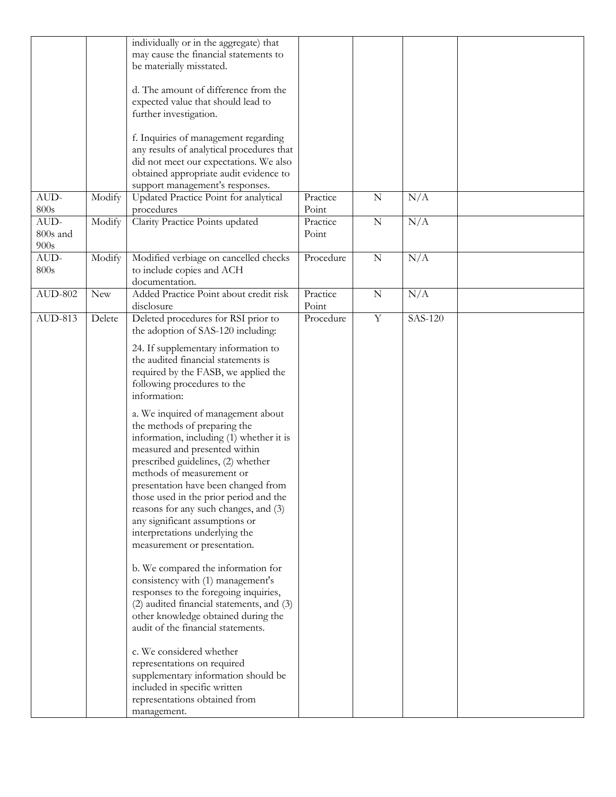|           |        | individually or in the aggregate) that                                    |           |                |         |  |
|-----------|--------|---------------------------------------------------------------------------|-----------|----------------|---------|--|
|           |        | may cause the financial statements to                                     |           |                |         |  |
|           |        | be materially misstated.                                                  |           |                |         |  |
|           |        |                                                                           |           |                |         |  |
|           |        | d. The amount of difference from the                                      |           |                |         |  |
|           |        | expected value that should lead to                                        |           |                |         |  |
|           |        | further investigation.                                                    |           |                |         |  |
|           |        |                                                                           |           |                |         |  |
|           |        | f. Inquiries of management regarding                                      |           |                |         |  |
|           |        | any results of analytical procedures that                                 |           |                |         |  |
|           |        | did not meet our expectations. We also                                    |           |                |         |  |
|           |        | obtained appropriate audit evidence to                                    |           |                |         |  |
|           |        | support management's responses.                                           |           |                |         |  |
| AUD-      | Modify | Updated Practice Point for analytical                                     | Practice  | $\overline{N}$ | N/A     |  |
| 800s      |        | procedures                                                                | Point     |                |         |  |
| AUD-      | Modify | Clarity Practice Points updated                                           | Practice  | ${\bf N}$      | N/A     |  |
| 800s and  |        |                                                                           | Point     |                |         |  |
| 900s      |        |                                                                           |           |                |         |  |
| $AUD-$    |        |                                                                           | Procedure | ${\bf N}$      | N/A     |  |
| 800s      | Modify | Modified verbiage on cancelled checks                                     |           |                |         |  |
|           |        | to include copies and ACH<br>documentation.                               |           |                |         |  |
| $AUD-802$ | New    | Added Practice Point about credit risk                                    | Practice  | $\overline{N}$ | N/A     |  |
|           |        | disclosure                                                                | Point     |                |         |  |
| AUD-813   | Delete |                                                                           | Procedure | Y              | SAS-120 |  |
|           |        | Deleted procedures for RSI prior to<br>the adoption of SAS-120 including: |           |                |         |  |
|           |        |                                                                           |           |                |         |  |
|           |        | 24. If supplementary information to                                       |           |                |         |  |
|           |        | the audited financial statements is                                       |           |                |         |  |
|           |        | required by the FASB, we applied the                                      |           |                |         |  |
|           |        | following procedures to the                                               |           |                |         |  |
|           |        | information:                                                              |           |                |         |  |
|           |        |                                                                           |           |                |         |  |
|           |        | a. We inquired of management about                                        |           |                |         |  |
|           |        | the methods of preparing the                                              |           |                |         |  |
|           |        | information, including (1) whether it is                                  |           |                |         |  |
|           |        | measured and presented within                                             |           |                |         |  |
|           |        | prescribed guidelines, (2) whether                                        |           |                |         |  |
|           |        | methods of measurement or                                                 |           |                |         |  |
|           |        | presentation have been changed from                                       |           |                |         |  |
|           |        | those used in the prior period and the                                    |           |                |         |  |
|           |        | reasons for any such changes, and (3)                                     |           |                |         |  |
|           |        | any significant assumptions or                                            |           |                |         |  |
|           |        | interpretations underlying the                                            |           |                |         |  |
|           |        | measurement or presentation.                                              |           |                |         |  |
|           |        |                                                                           |           |                |         |  |
|           |        | b. We compared the information for                                        |           |                |         |  |
|           |        | consistency with (1) management's                                         |           |                |         |  |
|           |        | responses to the foregoing inquiries,                                     |           |                |         |  |
|           |        | (2) audited financial statements, and (3)                                 |           |                |         |  |
|           |        | other knowledge obtained during the                                       |           |                |         |  |
|           |        | audit of the financial statements.                                        |           |                |         |  |
|           |        |                                                                           |           |                |         |  |
|           |        | c. We considered whether                                                  |           |                |         |  |
|           |        | representations on required                                               |           |                |         |  |
|           |        | supplementary information should be                                       |           |                |         |  |
|           |        | included in specific written                                              |           |                |         |  |
|           |        | representations obtained from                                             |           |                |         |  |
|           |        | management.                                                               |           |                |         |  |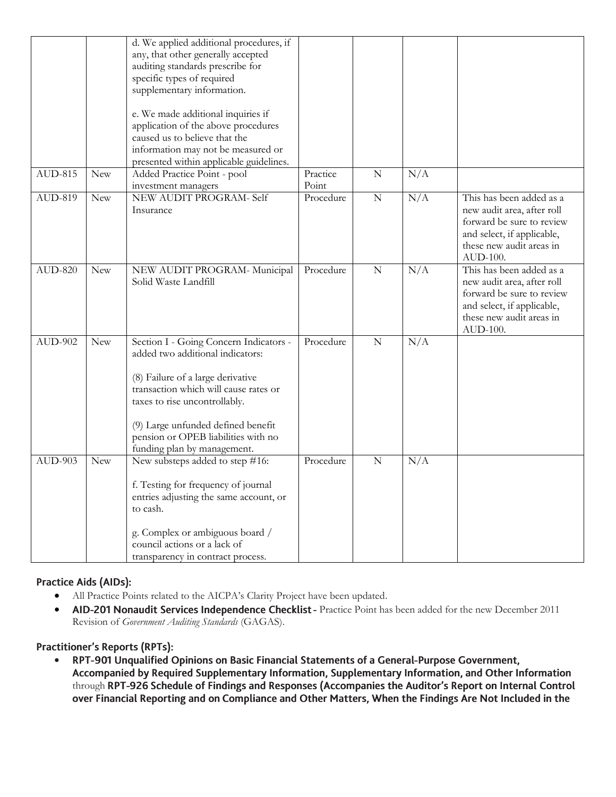|                |            | d. We applied additional procedures, if<br>any, that other generally accepted<br>auditing standards prescribe for<br>specific types of required<br>supplementary information.<br>e. We made additional inquiries if<br>application of the above procedures<br>caused us to believe that the<br>information may not be measured or |                    |                |     |                                                                                                                                                           |
|----------------|------------|-----------------------------------------------------------------------------------------------------------------------------------------------------------------------------------------------------------------------------------------------------------------------------------------------------------------------------------|--------------------|----------------|-----|-----------------------------------------------------------------------------------------------------------------------------------------------------------|
| <b>AUD-815</b> | <b>New</b> | presented within applicable guidelines.<br>Added Practice Point - pool                                                                                                                                                                                                                                                            | Practice           | $\mathbf N$    | N/A |                                                                                                                                                           |
| AUD-819        | New        | investment managers<br>NEW AUDIT PROGRAM- Self<br>Insurance                                                                                                                                                                                                                                                                       | Point<br>Procedure | $\overline{N}$ | N/A | This has been added as a<br>new audit area, after roll<br>forward be sure to review<br>and select, if applicable,<br>these new audit areas in<br>AUD-100. |
| <b>AUD-820</b> | <b>New</b> | NEW AUDIT PROGRAM- Municipal<br>Solid Waste Landfill                                                                                                                                                                                                                                                                              | Procedure          | $\mathbf N$    | N/A | This has been added as a<br>new audit area, after roll<br>forward be sure to review<br>and select, if applicable,<br>these new audit areas in<br>AUD-100. |
| <b>AUD-902</b> | New        | Section I - Going Concern Indicators -<br>added two additional indicators:<br>(8) Failure of a large derivative<br>transaction which will cause rates or<br>taxes to rise uncontrollably.<br>(9) Large unfunded defined benefit<br>pension or OPEB liabilities with no<br>funding plan by management.                             | Procedure          | $\mathbf N$    | N/A |                                                                                                                                                           |
| AUD-903        | <b>New</b> | New substeps added to step #16:<br>f. Testing for frequency of journal<br>entries adjusting the same account, or<br>to cash.<br>g. Complex or ambiguous board /<br>council actions or a lack of<br>transparency in contract process.                                                                                              | Procedure          | $\mathbf N$    | N/A |                                                                                                                                                           |

# Practice Aids (AIDs):

- All Practice Points related to the AICPA's Clarity Project have been updated.
- AID-201 Nonaudit Services Independence Checklist Practice Point has been added for the new December 2011 Revision of *Government Auditing Standards* (GAGAS).

# **Practitioner's Reports (RPTs):**

RPT-901 Unqualified Opinions on Basic Financial Statements of a General-Purpose Government,  $\bullet$ Accompanied by Required Supplementary Information, Supplementary Information, and Other Information through RPT-926 Schedule of Findings and Responses (Accompanies the Auditor's Report on Internal Control over Financial Reporting and on Compliance and Other Matters, When the Findings Are Not Included in the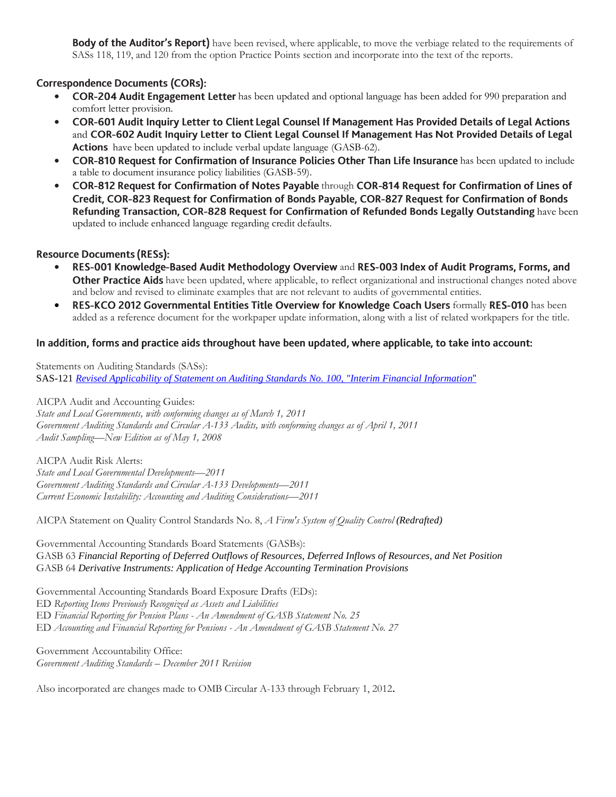**Body of the Auditor's Report)** have been revised, where applicable, to move the verbiage related to the requirements of SASs 118, 119, and 120 from the option Practice Points section and incorporate into the text of the reports.

# **Correspondence Documents (CORs):**

- COR-204 Audit Engagement Letter has been updated and optional language has been added for 990 preparation and comfort letter provision.
- COR-601 Audit Inquiry Letter to Client Legal Counsel If Management Has Provided Details of Legal Actions  $\bullet$ and COR-602 Audit Inquiry Letter to Client Legal Counsel If Management Has Not Provided Details of Legal **Actions** have been updated to include verbal update language (GASB-62).
- COR-810 Request for Confirmation of Insurance Policies Other Than Life Insurance has been updated to include a table to document insurance policy liabilities (GASB-59).
- COR-812 Request for Confirmation of Notes Payable through COR-814 Request for Confirmation of Lines of Credit, COR-823 Request for Confirmation of Bonds Payable, COR-827 Request for Confirmation of Bonds Refunding Transaction, COR-828 Request for Confirmation of Refunded Bonds Legally Outstanding have been updated to include enhanced language regarding credit defaults.

### **Resource Documents (RESs):**

- RES-001 Knowledge-Based Audit Methodology Overview and RES-003 Index of Audit Programs, Forms, and **Other Practice Aids** have been updated, where applicable, to reflect organizational and instructional changes noted above and below and revised to eliminate examples that are not relevant to audits of governmental entities.
- RES-KCO 2012 Governmental Entities Title Overview for Knowledge Coach Users formally RES-010 has been added as a reference document for the workpaper update information, along with a list of related workpapers for the title.

### In addition, forms and practice aids throughout have been updated, where applicable, to take into account:

Statements on Auditing Standards (SASs): SAS-121 *Revised Applicability of Statement on Auditing Standards No. 100, "Interim Financial Information*"

AICPA Audit and Accounting Guides: *State and Local Governments, with conforming changes as of March 1, 2011 Government Auditing Standards and Circular A-133 Audits, with conforming changes as of April 1, 2011 Audit Sampling—New Edition as of May 1, 2008*

AICPA Audit Risk Alerts: *State and Local Governmental Developments—2011 [Government Auditing Standards and Circular A-133 Developments](http://www.accountingresearchmanager.com/wk/rm.nsf/8befeab843ef00cd072564ac0082d2ad/a38491425ed4d0518625764100493761?OpenDocument&rnm=184359)—2011 [Current Economic Instability: Accounting and Auditing Considerations](http://www.accountingresearchmanager.com/wk/rm.nsf/8befeab843ef00cd072564ac0082d2ad/34e871633a13de7a86257641004b0eeb?OpenDocument&rnm=495626)—2011*

AICPA Statement on Quality Control Standards No. 8, *A Firm's System of Quality Control (Redrafted)*

Governmental Accounting Standards Board Statements (GASBs): GASB 63 *Financial Reporting of Deferred Outflows of Resources, Deferred Inflows of Resources, and Net Position* GASB 64 *Derivative Instruments: Application of Hedge Accounting Termination Provisions*

Governmental Accounting Standards Board Exposure Drafts (EDs):

ED *Reporting Items Previously Recognized as Assets and Liabilities*

ED *Financial Reporting for Pension Plans - An Amendment of GASB Statement No. 25*

ED *Accounting and Financial Reporting for Pensions - An Amendment of GASB Statement No. 27*

Government Accountability Office: *Government Auditing Standards – December 2011 Revision*

Also incorporated are changes made to OMB Circular A-133 through February 1, 2012.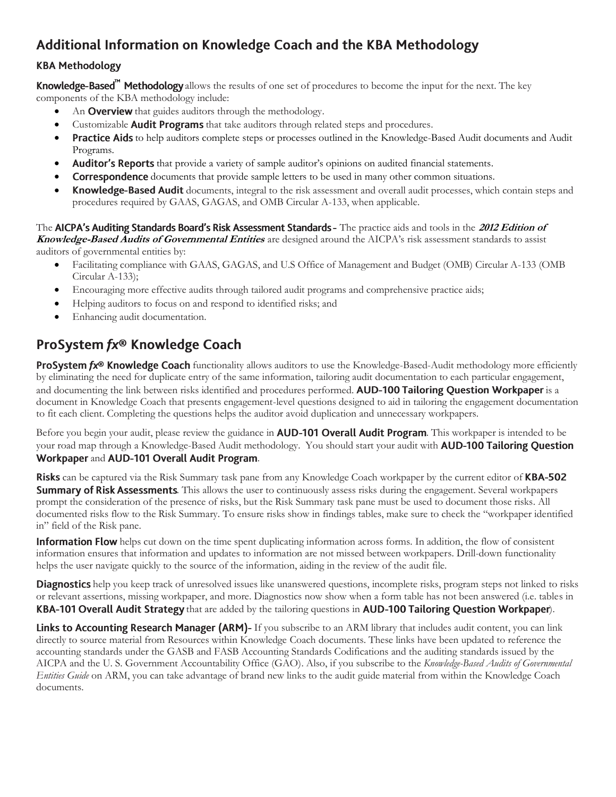# Additional Information on Knowledge Coach and the KBA Methodology

# **KBA Methodology**

**Knowledge-Based" Methodology** allows the results of one set of procedures to become the input for the next. The key components of the KBA methodology include:

- An Overview that guides auditors through the methodology.
- Customizable **Audit Programs** that take auditors through related steps and procedures.
- Practice Aids to help auditors complete steps or processes outlined in the Knowledge-Based Audit documents and Audit Programs.
- Auditor's Reports that provide a variety of sample auditor's opinions on audited financial statements.
- **Correspondence** documents that provide sample letters to be used in many other common situations.
- **Knowledge-Based Audit** documents, integral to the risk assessment and overall audit processes, which contain steps and procedures required by GAAS, GAGAS, and OMB Circular A-133, when applicable.

The AICPA's Auditing Standards Board's Risk Assessment Standards - The practice aids and tools in the 2012 Edition of **Knowledge-Based Audits of Governmental Entities** are designed around the AICPA's risk assessment standards to assist auditors of governmental entities by:

- Facilitating compliance with GAAS, GAGAS, and U.S Office of Management and Budget (OMB) Circular A-133 (OMB Circular A-133);
- Encouraging more effective audits through tailored audit programs and comprehensive practice aids;
- Helping auditors to focus on and respond to identified risks; and
- Enhancing audit documentation.

# ProSystem fx® Knowledge Coach

ProSystem fx® Knowledge Coach functionality allows auditors to use the Knowledge-Based-Audit methodology more efficiently by eliminating the need for duplicate entry of the same information, tailoring audit documentation to each particular engagement, and documenting the link between risks identified and procedures performed. **AUD-100 Tailoring Question Workpaper** is a document in Knowledge Coach that presents engagement-level questions designed to aid in tailoring the engagement documentation to fit each client. Completing the questions helps the auditor avoid duplication and unnecessary workpapers.

Before you begin your audit, please review the guidance in **AUD-101 Overall Audit Program**. This workpaper is intended to be your road map through a Knowledge-Based Audit methodology. You should start your audit with **AUD-100 Tailoring Question** Workpaper and AUD-101 Overall Audit Program.

**Risks** can be captured via the Risk Summary task pane from any Knowledge Coach workpaper by the current editor of **KBA-502 Summary of Risk Assessments**. This allows the user to continuously assess risks during the engagement. Several workpapers prompt the consideration of the presence of risks, but the Risk Summary task pane must be used to document those risks. All documented risks flow to the Risk Summary. To ensure risks show in findings tables, make sure to check the "workpaper identified in" field of the Risk pane.

**Information Flow** helps cut down on the time spent duplicating information across forms. In addition, the flow of consistent information ensures that information and updates to information are not missed between workpapers. Drill-down functionality helps the user navigate quickly to the source of the information, aiding in the review of the audit file.

**Diagnostics** help you keep track of unresolved issues like unanswered questions, incomplete risks, program steps not linked to risks or relevant assertions, missing workpaper, and more. Diagnostics now show when a form table has not been answered (i.e. tables in KBA-101 Overall Audit Strategy that are added by the tailoring questions in AUD-100 Tailoring Question Workpaper).

Links to Accounting Research Manager (ARM)- If you subscribe to an ARM library that includes audit content, you can link directly to source material from Resources within Knowledge Coach documents. These links have been updated to reference the accounting standards under the GASB and FASB Accounting Standards Codifications and the auditing standards issued by the AICPA and the U. S. Government Accountability Office (GAO). Also, if you subscribe to the *Knowledge-Based Audits of Governmental Entities Guide* on ARM, you can take advantage of brand new links to the audit guide material from within the Knowledge Coach documents.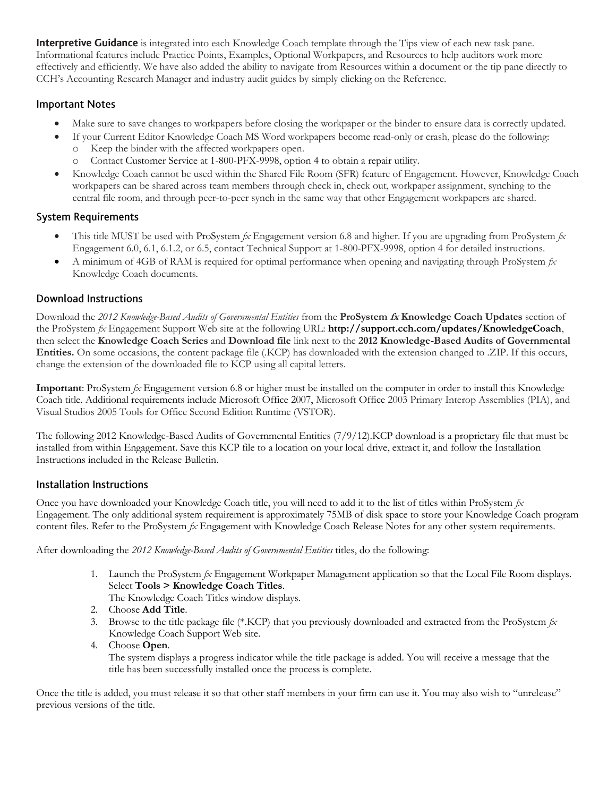**Interpretive Guidance** is integrated into each Knowledge Coach template through the Tips view of each new task pane. Informational features include Practice Points, Examples, Optional Workpapers, and Resources to help auditors work more effectively and efficiently. We have also added the ability to navigate from Resources within a document or the tip pane directly to CCH's Accounting Research Manager and industry audit guides by simply clicking on the Reference.

## **Important Notes**

- Make sure to save changes to workpapers before closing the workpaper or the binder to ensure data is correctly updated.
- If your Current Editor Knowledge Coach MS Word workpapers become read-only or crash, please do the following:
	- o Keep the binder with the affected workpapers open.
	- o Contact Customer Service at 1-800-PFX-9998, option 4 to obtain a repair utility.
- Knowledge Coach cannot be used within the Shared File Room (SFR) feature of Engagement. However, Knowledge Coach workpapers can be shared across team members through check in, check out, workpaper assignment, synching to the central file room, and through peer-to-peer synch in the same way that other Engagement workpapers are shared.

# **System Requirements**

- This title MUST be used with ProSystem *fx* Engagement version 6.8 and higher. If you are upgrading from ProSystem *fx*  Engagement 6.0, 6.1, 6.1.2, or 6.5, contact Technical Support at 1-800-PFX-9998, option 4 for detailed instructions.
- A minimum of 4GB of RAM is required for optimal performance when opening and navigating through ProSystem *fx*  Knowledge Coach documents.

# **Download Instructions**

Download the *2012 Knowledge-Based Audits of Governmental Entities* from the **ProSystem fx Knowledge Coach Updates** section of the ProSystem *fx* Engagement Support Web site at the following URL: **http://support.cch.com/updates/KnowledgeCoach**, then select the **Knowledge Coach Series** and **Download file** link next to the **2012 Knowledge-Based Audits of Governmental Entities.** On some occasions, the content package file (.KCP) has downloaded with the extension changed to .ZIP. If this occurs, change the extension of the downloaded file to KCP using all capital letters.

**Important**: ProSystem *fx* Engagement version 6.8 or higher must be installed on the computer in order to install this Knowledge Coach title. Additional requirements include Microsoft Office 2007, Microsoft Office 2003 Primary Interop Assemblies (PIA), and Visual Studios 2005 Tools for Office Second Edition Runtime (VSTOR).

The following 2012 Knowledge-Based Audits of Governmental Entities (7/9/12).KCP download is a proprietary file that must be installed from within Engagement. Save this KCP file to a location on your local drive, extract it, and follow the Installation Instructions included in the Release Bulletin.

# **Installation Instructions**

Once you have downloaded your Knowledge Coach title, you will need to add it to the list of titles within ProSystem *fx*  Engagement. The only additional system requirement is approximately 75MB of disk space to store your Knowledge Coach program content files. Refer to the ProSystem *fx* Engagement with Knowledge Coach Release Notes for any other system requirements.

After downloading the *2012 Knowledge-Based Audits of Governmental Entities* titles, do the following:

- 1. Launch the ProSystem *fx* Engagement Workpaper Management application so that the Local File Room displays. Select **Tools > Knowledge Coach Titles**.
	- The Knowledge Coach Titles window displays.
- 2. Choose **Add Title**.
- 3. Browse to the title package file (\*.KCP) that you previously downloaded and extracted from the ProSystem *fx*  Knowledge Coach Support Web site.
- 4. Choose **Open**.

The system displays a progress indicator while the title package is added. You will receive a message that the title has been successfully installed once the process is complete.

Once the title is added, you must release it so that other staff members in your firm can use it. You may also wish to "unrelease" previous versions of the title.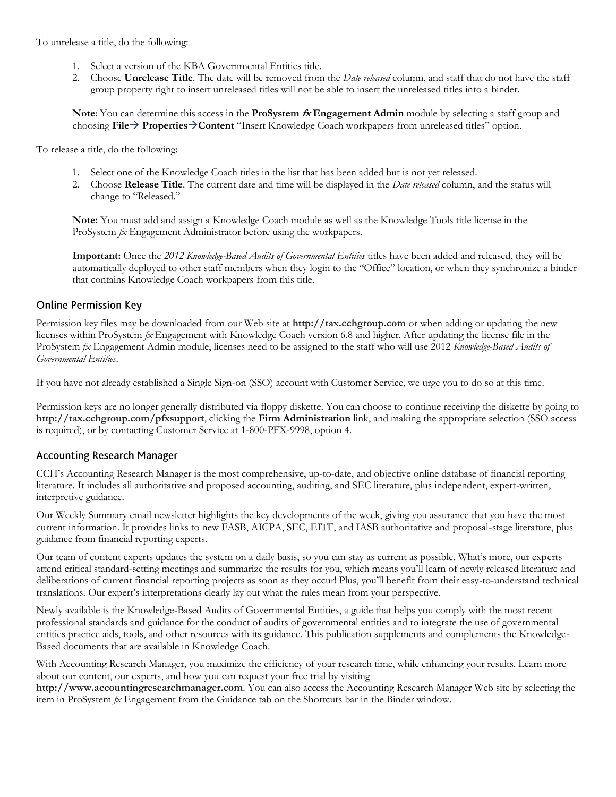To unrelease a title, do the following:

- 1. Select a version of the KBA Governmental Entities title.
- 2. Choose **Unrelease Title**. The date will be removed from the *Date released* column, and staff that do not have the staff group property right to insert unreleased titles will not be able to insert the unreleased titles into a binder.

**Note**: You can determine this access in the **ProSystem fx Engagement Admin** module by selecting a staff group and choosing **File PropertiesContent** "Insert Knowledge Coach workpapers from unreleased titles" option.

To release a title, do the following:

- 1. Select one of the Knowledge Coach titles in the list that has been added but is not yet released.
- 2. Choose **Release Title**. The current date and time will be displayed in the *Date released* column, and the status will change to "Released."

**Note:** You must add and assign a Knowledge Coach module as well as the Knowledge Tools title license in the ProSystem *fx* Engagement Administrator before using the workpapers.

**Important:** Once the *2012 Knowledge-Based Audits of Governmental Entities* titles have been added and released, they will be automatically deployed to other staff members when they login to the "Office" location, or when they synchronize a binder that contains Knowledge Coach workpapers from this title.

### **Online Permission Key**

Permission key files may be downloaded from our Web site at **http://tax.cchgroup.com** or when adding or updating the new licenses within ProSystem *fx* Engagement with Knowledge Coach version 6.8 and higher. After updating the license file in the ProSystem *fx* Engagement Admin module, licenses need to be assigned to the staff who will use 2012 *Knowledge-Based Audits of Governmental Entities*.

If you have not already established a Single Sign-on (SSO) account with Customer Service, we urge you to do so at this time.

Permission keys are no longer generally distributed via floppy diskette. You can choose to continue receiving the diskette by going to **http://tax.cchgroup.com/pfxsupport**, clicking the **Firm Administration** link, and making the appropriate selection (SSO access is required), or by contacting Customer Service at 1-800-PFX-9998, option 4.

#### **Accounting Research Manager**

CCH's Accounting Research Manager is the most comprehensive, up-to-date, and objective online database of financial reporting literature. It includes all authoritative and proposed accounting, auditing, and SEC literature, plus independent, expert-written, interpretive guidance.

Our Weekly Summary email newsletter highlights the key developments of the week, giving you assurance that you have the most current information. It provides links to new FASB, AICPA, SEC, EITF, and IASB authoritative and proposal-stage literature, plus guidance from financial reporting experts.

Our team of content experts updates the system on a daily basis, so you can stay as current as possible. What's more, our experts attend critical standard-setting meetings and summarize the results for you, which means you'll learn of newly released literature and deliberations of current financial reporting projects as soon as they occur! Plus, you'll benefit from their easy-to-understand technical translations. Our expert's interpretations clearly lay out what the rules mean from your perspective.

Newly available is the Knowledge-Based Audits of Governmental Entities, a guide that helps you comply with the most recent professional standards and guidance for the conduct of audits of governmental entities and to integrate the use of governmental entities practice aids, tools, and other resources with its guidance. This publication supplements and complements the Knowledge-Based documents that are available in Knowledge Coach.

With Accounting Research Manager, you maximize the efficiency of your research time, while enhancing your results. Learn more about our content, our experts, and how you can request your free trial by visiting

**http://www.accountingresearchmanager.com**. You can also access the Accounting Research Manager Web site by selecting the item in ProSystem *fx* Engagement from the Guidance tab on the Shortcuts bar in the Binder window.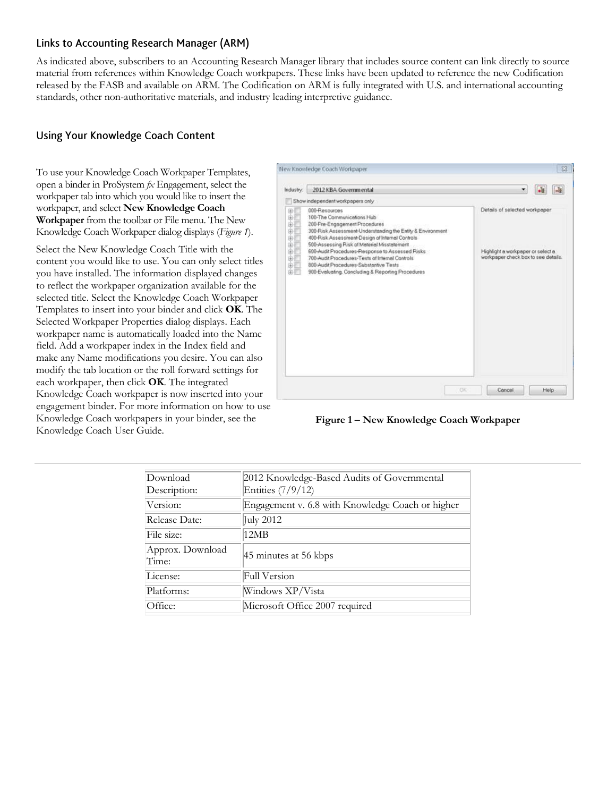### Links to Accounting Research Manager (ARM)

As indicated above, subscribers to an Accounting Research Manager library that includes source content can link directly to source material from references within Knowledge Coach workpapers. These links have been updated to reference the new Codification released by the FASB and available on ARM. The Codification on ARM is fully integrated with U.S. and international accounting standards, other non-authoritative materials, and industry leading interpretive guidance.

# **Using Your Knowledge Coach Content**

To use your Knowledge Coach Workpaper Templates, open a binder in ProSystem *fx* Engagement, select the workpaper tab into which you would like to insert the workpaper, and select **New Knowledge Coach Workpaper** from the toolbar or File menu. The New Knowledge Coach Workpaper dialog displays (*Figure 1*).

Select the New Knowledge Coach Title with the content you would like to use. You can only select titles you have installed. The information displayed changes to reflect the workpaper organization available for the selected title. Select the Knowledge Coach Workpaper Templates to insert into your binder and click **OK**. The Selected Workpaper Properties dialog displays. Each workpaper name is automatically loaded into the Name field. Add a workpaper index in the Index field and make any Name modifications you desire. You can also modify the tab location or the roll forward settings for each workpaper, then click **OK**. The integrated Knowledge Coach workpaper is now inserted into your engagement binder. For more information on how to use Knowledge Coach workpapers in your binder, see the Knowledge Coach User Guide.



**Figure 1 – New Knowledge Coach Workpaper**

| Download<br>Description:  | 2012 Knowledge-Based Audits of Governmental<br>Entities (7/9/12) |
|---------------------------|------------------------------------------------------------------|
| Version:                  | Engagement v. 6.8 with Knowledge Coach or higher                 |
| Release Date:             | July 2012                                                        |
| File size:                | 12MB                                                             |
| Approx. Download<br>Time: | 45 minutes at 56 kbps                                            |
| License:                  | Full Version                                                     |
| Platforms:                | Windows XP/Vista                                                 |
| Office:                   | Microsoft Office 2007 required                                   |